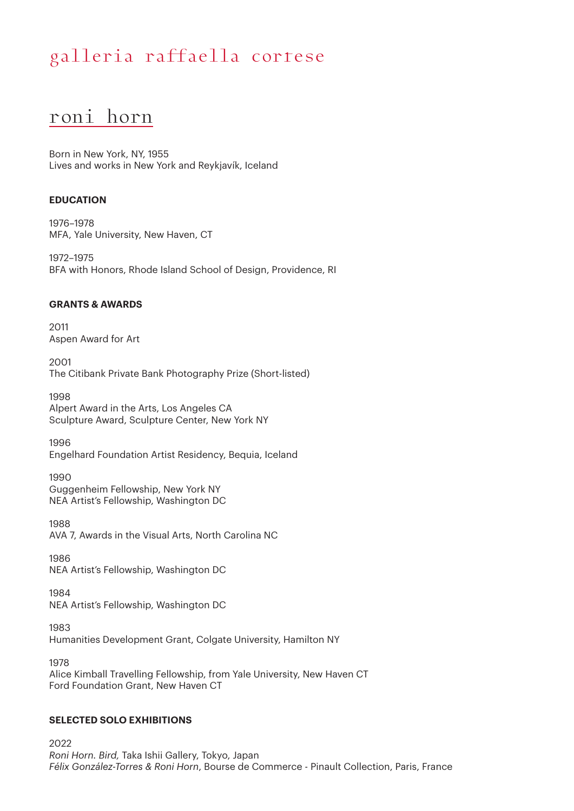### roni horn

Born in New York, NY, 1955 Lives and works in New York and Reykjavík, Iceland

### **EDUCATION**

1976–1978 MFA, Yale University, New Haven, CT

1972–1975 BFA with Honors, Rhode Island School of Design, Providence, RI

### **GRANTS & AWARDS**

2011 Aspen Award for Art

2001 The Citibank Private Bank Photography Prize (Short-listed)

1998 Alpert Award in the Arts, Los Angeles CA Sculpture Award, Sculpture Center, New York NY

1996 Engelhard Foundation Artist Residency, Bequia, Iceland

1990 Guggenheim Fellowship, New York NY NEA Artist's Fellowship, Washington DC

1988 AVA 7, Awards in the Visual Arts, North Carolina NC

1986 NEA Artist's Fellowship, Washington DC

1984 NEA Artist's Fellowship, Washington DC

1983 Humanities Development Grant, Colgate University, Hamilton NY

1978 Alice Kimball Travelling Fellowship, from Yale University, New Haven CT Ford Foundation Grant, New Haven CT

### **SELECTED SOLO EXHIBITIONS**

2022 *Roni Horn. Bird,* Taka Ishii Gallery, Tokyo, Japan *Félix González-Torres & Roni Horn*, Bourse de Commerce - Pinault Collection, Paris, France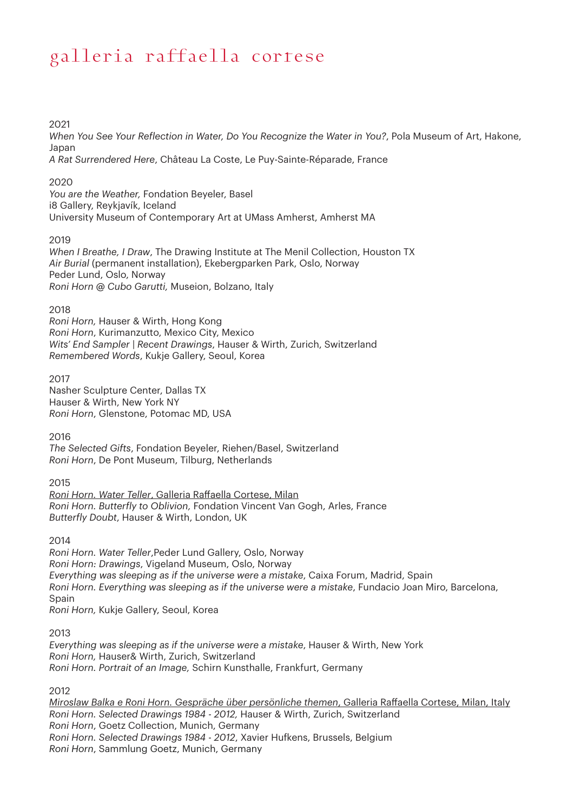2021

*When You See Your Reflection in Water, Do You Recognize the Water in You?*, Pola Museum of Art, Hakone, Japan

*A Rat Surrendered Here*, Château La Coste, Le Puy-Sainte-Réparade, France

### 2020

*You are the Weather,* Fondation Beyeler, Basel i8 Gallery, Reykjavík, Iceland University Museum of Contemporary Art at UMass Amherst, Amherst MA

### 2019

*When I Breathe, I Draw*, The Drawing Institute at The Menil Collection, Houston TX *Air Burial* (permanent installation), Ekebergparken Park, Oslo, Norway Peder Lund, Oslo, Norway *Roni Horn @ Cubo Garutti,* Museion, Bolzano, Italy

### 2018

*Roni Horn,* Hauser & Wirth, Hong Kong *Roni Horn*, Kurimanzutto, Mexico City, Mexico *Wits' End Sampler | Recent Drawings*, Hauser & Wirth, Zurich, Switzerland *Remembered Words*, Kukje Gallery, Seoul, Korea

### 2017

Nasher Sculpture Center, Dallas TX Hauser & Wirth, New York NY *Roni Horn*, Glenstone, Potomac MD, USA

2016

*The Selected Gifts*, Fondation Beyeler, Riehen/Basel, Switzerland *Roni Horn*, De Pont Museum, Tilburg, Netherlands

2015

*Roni Horn. Water Teller*, Galleria Raffaella Cortese, Milan *Roni Horn. Butterfly to Oblivion,* Fondation Vincent Van Gogh, Arles, France *Butterfly Doubt*, Hauser & Wirth, London, UK

2014

*Roni Horn. Water Teller*,Peder Lund Gallery, Oslo, Norway *Roni Horn: Drawings*, Vigeland Museum, Oslo, Norway *Everything was sleeping as if the universe were a mistake*, Caixa Forum, Madrid, Spain *Roni Horn. Everything was sleeping as if the universe were a mistake*, Fundacio Joan Miro, Barcelona, Spain *Roni Horn,* Kukje Gallery, Seoul, Korea

2013

*Everything was sleeping as if the universe were a mistake*, Hauser & Wirth, New York *Roni Horn,* Hauser& Wirth, Zurich, Switzerland *Roni Horn. Portrait of an Image,* Schirn Kunsthalle, Frankfurt, Germany

2012

*Miroslaw Balka e Roni Horn. Gespräche über persönliche themen*, Galleria Raffaella Cortese, Milan, Italy *Roni Horn. Selected Drawings 1984 - 2012,* Hauser & Wirth, Zurich, Switzerland *Roni Horn*, Goetz Collection, Munich, Germany *Roni Horn. Selected Drawings 1984 - 2012*, Xavier Hufkens, Brussels, Belgium *Roni Horn*, Sammlung Goetz, Munich, Germany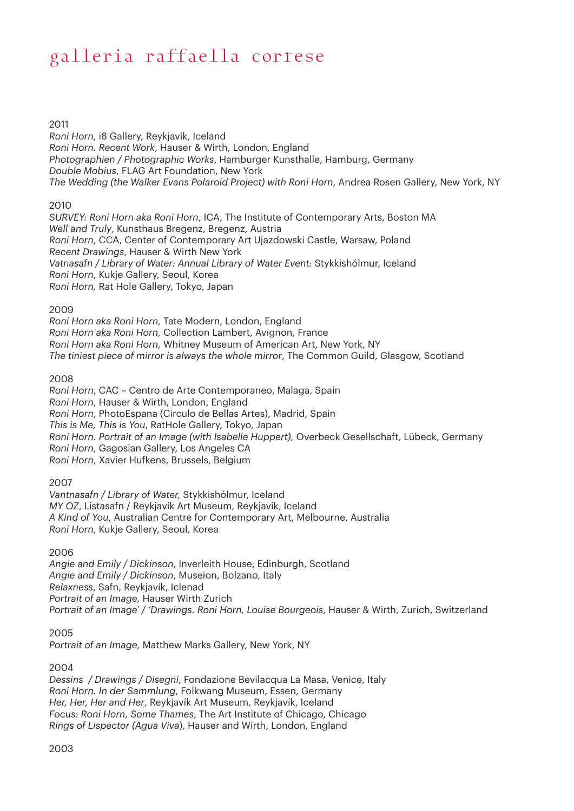2011

*Roni Horn*, i8 Gallery, Reykjavik, Iceland *Roni Horn. Recent Work*, Hauser & Wirth, London, England *Photographien / Photographic Works*, Hamburger Kunsthalle, Hamburg, Germany *Double Mobius*, FLAG Art Foundation, New York *The Wedding (the Walker Evans Polaroid Project) with Roni Horn*, Andrea Rosen Gallery, New York, NY

### 2010

*SURVEY: Roni Horn aka Roni Horn*, ICA, The Institute of Contemporary Arts, Boston MA *Well and Truly*, Kunsthaus Bregenz, Bregenz, Austria *Roni Horn*, CCA, Center of Contemporary Art Ujazdowski Castle, Warsaw, Poland *Recent Drawings*, Hauser & Wirth New York *Vatnasafn / Library of Water: Annual Library of Water Event:* Stykkishólmur, Iceland *Roni Horn*, Kukje Gallery, Seoul, Korea *Roni Horn,* Rat Hole Gallery, Tokyo, Japan

#### 2009

*Roni Horn aka Roni Horn,* Tate Modern, London, England *Roni Horn aka Roni Horn,* Collection Lambert, Avignon, France *Roni Horn aka Roni Horn,* Whitney Museum of American Art, New York, NY *The tiniest piece of mirror is always the whole mirror*, The Common Guild, Glasgow, Scotland

### 2008

*Roni Horn*, CAC – Centro de Arte Contemporaneo, Malaga, Spain *Roni Horn*, Hauser & Wirth, London, England *Roni Horn*, PhotoEspana (Circulo de Bellas Artes), Madrid, Spain *This is Me, This is You*, RatHole Gallery, Tokyo, Japan *Roni Horn. Portrait of an Image (with Isabelle Huppert),* Overbeck Gesellschaft, Lübeck, Germany *Roni Horn*, Gagosian Gallery, Los Angeles CA *Roni Horn*, Xavier Hufkens, Brussels, Belgium

### 2007

*Vantnasafn / Library of Water,* Stykkishólmur, Iceland *MY OZ*, Listasafn / Reykjavík Art Museum, Reykjavik, Iceland *A Kind of You*, Australian Centre for Contemporary Art, Melbourne, Australia *Roni Horn*, Kukje Gallery, Seoul, Korea

#### 2006

*Angie and Emily / Dickinson*, Inverleith House, Edinburgh, Scotland *Angie and Emily / Dickinson*, Museion, Bolzano, Italy *Relaxness*, Safn, Reykjavík, Iclenad *Portrait of an Image,* Hauser Wirth Zurich *Portrait of an Image' / 'Drawings. Roni Horn, Louise Bourgeois*, Hauser & Wirth, Zurich, Switzerland

### 2005

*Portrait of an Image,* Matthew Marks Gallery, New York, NY

### 2004

*Dessins / Drawings / Disegni*, Fondazione Bevilacqua La Masa, Venice, Italy *Roni Horn. In der Sammlung*, Folkwang Museum, Essen, Germany *Her, Her, Her and Her*, Reykjavík Art Museum, Reykjavík, Iceland *Focus: Roni Horn, Some Thames*, The Art Institute of Chicago, Chicago *Rings of Lispector (Agua Viva*), Hauser and Wirth, London, England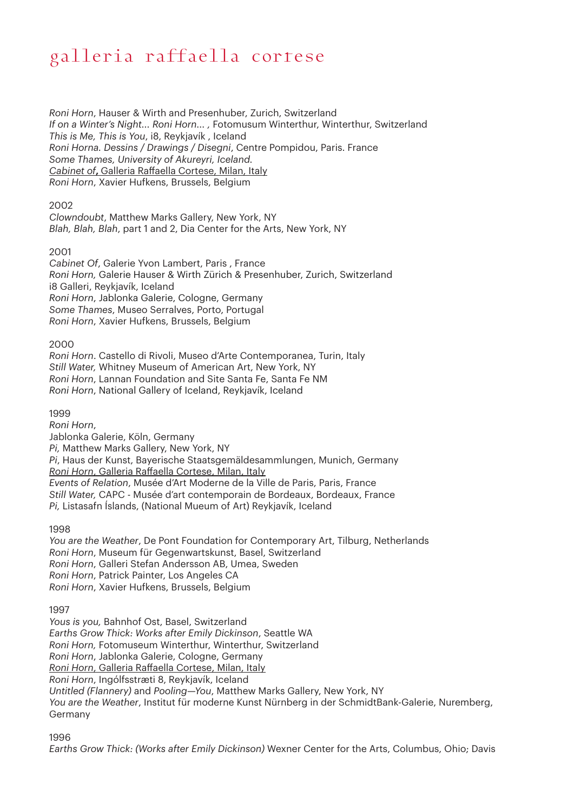*Roni Horn*, Hauser & Wirth and Presenhuber, Zurich, Switzerland *If on a Winter's Night... Roni Horn... ,* Fotomusum Winterthur, Winterthur, Switzerland *This is Me, This is You*, i8, Reykjavík , Iceland *Roni Horna. Dessins / Drawings / Disegni*, Centre Pompidou, Paris. France *Some Thames, University of Akureyri, Iceland. Cabinet of***,** Galleria Raffaella Cortese, Milan, Italy *Roni Horn*, Xavier Hufkens, Brussels, Belgium

### 2002

*Clowndoubt*, Matthew Marks Gallery, New York, NY *Blah, Blah, Blah*, part 1 and 2, Dia Center for the Arts, New York, NY

### 2001

*Cabinet Of*, Galerie Yvon Lambert, Paris , France *Roni Horn,* Galerie Hauser & Wirth Zürich & Presenhuber, Zurich, Switzerland i8 Galleri, Reykjavík, Iceland *Roni Horn*, Jablonka Galerie, Cologne, Germany *Some Thames*, Museo Serralves, Porto, Portugal *Roni Horn*, Xavier Hufkens, Brussels, Belgium

#### 2000

*Roni Horn*. Castello di Rivoli, Museo d'Arte Contemporanea, Turin, Italy *Still Water,* Whitney Museum of American Art, New York, NY *Roni Horn*, Lannan Foundation and Site Santa Fe, Santa Fe NM *Roni Horn*, National Gallery of Iceland, Reykjavík, Iceland

1999

*Roni Horn*, Jablonka Galerie, Köln, Germany *Pi,* Matthew Marks Gallery, New York, NY *Pi*, Haus der Kunst, Bayerische Staatsgemäldesammlungen, Munich, Germany *Roni Horn*, Galleria Raffaella Cortese, Milan, Italy *Events of Relation*, Musée d'Art Moderne de la Ville de Paris, Paris, France *Still Water,* CAPC - Musée d'art contemporain de Bordeaux, Bordeaux, France *Pi,* Listasafn Íslands, (National Mueum of Art) Reykjavík, Iceland

1998

*You are the Weather*, De Pont Foundation for Contemporary Art, Tilburg, Netherlands *Roni Horn*, Museum für Gegenwartskunst, Basel, Switzerland *Roni Horn*, Galleri Stefan Andersson AB, Umea, Sweden *Roni Horn*, Patrick Painter, Los Angeles CA *Roni Horn*, Xavier Hufkens, Brussels, Belgium

1997

*Yous is you,* Bahnhof Ost, Basel, Switzerland *Earths Grow Thick: Works after Emily Dickinson*, Seattle WA *Roni Horn,* Fotomuseum Winterthur, Winterthur, Switzerland *Roni Horn*, Jablonka Galerie, Cologne, Germany *Roni Horn*, Galleria Raffaella Cortese, Milan, Italy *Roni Horn*, Ingólfsstræti 8, Reykjavík, Iceland *Untitled (Flannery)* and *Pooling—You*, Matthew Marks Gallery, New York, NY *You are the Weather*, Institut für moderne Kunst Nürnberg in der SchmidtBank-Galerie, Nuremberg, Germany

1996

*Earths Grow Thick: (Works after Emily Dickinson)* Wexner Center for the Arts, Columbus, Ohio; Davis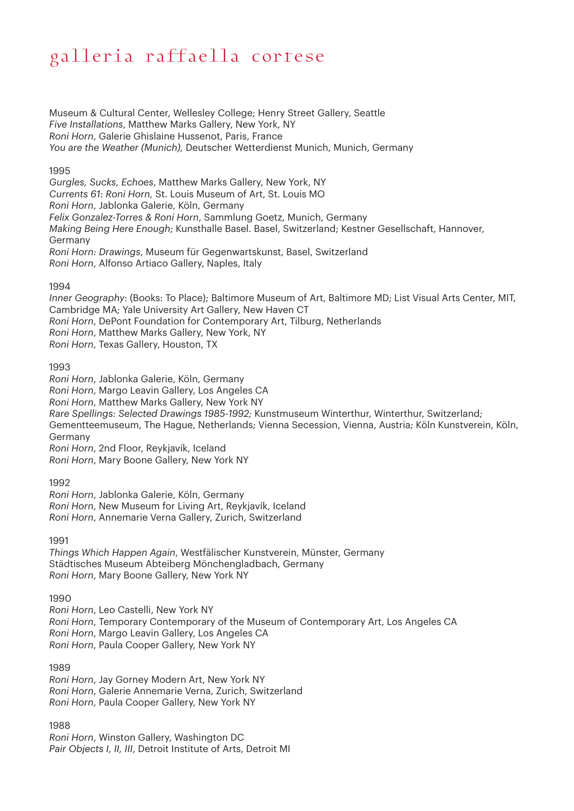Museum & Cultural Center, Wellesley College; Henry Street Gallery, Seattle *Five Installations*, Matthew Marks Gallery, New York, NY *Roni Horn*, Galerie Ghislaine Hussenot, Paris, France *You are the Weather (Munich),* Deutscher Wetterdienst Munich, Munich, Germany

### 1995

*Gurgles, Sucks, Echoes*, Matthew Marks Gallery, New York, NY *Currents 61: Roni Horn,* St. Louis Museum of Art, St. Louis MO *Roni Horn*, Jablonka Galerie, Köln, Germany *Felix Gonzalez-Torres & Roni Horn*, Sammlung Goetz, Munich, Germany *Making Being Here Enough*; Kunsthalle Basel. Basel, Switzerland; Kestner Gesellschaft, Hannover, Germany *Roni Horn: Drawings*, Museum für Gegenwartskunst, Basel, Switzerland *Roni Horn*, Alfonso Artiaco Gallery, Naples, Italy

1994

*Inner Geography*: (Books: To Place); Baltimore Museum of Art, Baltimore MD; List Visual Arts Center, MIT, Cambridge MA; Yale University Art Gallery, New Haven CT *Roni Horn*, DePont Foundation for Contemporary Art, Tilburg, Netherlands *Roni Horn*, Matthew Marks Gallery, New York, NY *Roni Horn*, Texas Gallery, Houston, TX

1993

*Roni Horn*, Jablonka Galerie, Köln, Germany *Roni Horn*, Margo Leavin Gallery, Los Angeles CA *Roni Horn*, Matthew Marks Gallery, New York NY *Rare Spellings: Selected Drawings 1985-1992;* Kunstmuseum Winterthur, Winterthur, Switzerland; Gementteemuseum, The Hague, Netherlands; Vienna Secession, Vienna, Austria; Köln Kunstverein, Köln, Germany

*Roni Horn*, 2nd Floor, Reykjavík, Iceland *Roni Horn*, Mary Boone Gallery, New York NY

1992

*Roni Horn*, Jablonka Galerie, Köln, Germany *Roni Horn*, New Museum for Living Art, Reykjavík, Iceland *Roni Horn*, Annemarie Verna Gallery, Zurich, Switzerland

1991

*Things Which Happen Again*, Westfälischer Kunstverein, Münster, Germany Städtisches Museum Abteiberg Mönchengladbach, Germany *Roni Horn*, Mary Boone Gallery, New York NY

1990

*Roni Horn*, Leo Castelli, New York NY *Roni Horn*, Temporary Contemporary of the Museum of Contemporary Art, Los Angeles CA *Roni Horn*, Margo Leavin Gallery, Los Angeles CA *Roni Horn*, Paula Cooper Gallery, New York NY

1989

*Roni Horn*, Jay Gorney Modern Art, New York NY *Roni Horn*, Galerie Annemarie Verna, Zurich, Switzerland *Roni Horn*, Paula Cooper Gallery, New York NY

1988

*Roni Horn*, Winston Gallery, Washington DC *Pair Objects I, II, III*, Detroit Institute of Arts, Detroit MI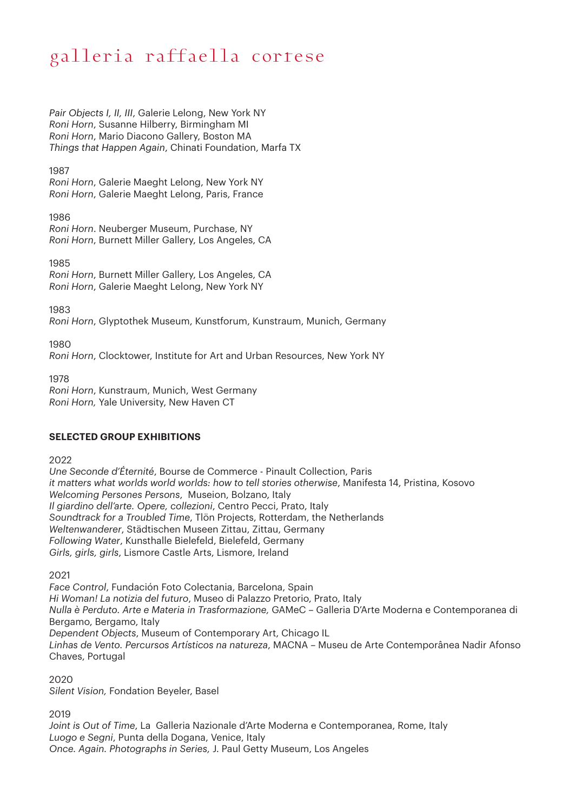*Pair Objects I, II, III*, Galerie Lelong, New York NY *Roni Horn*, Susanne Hilberry, Birmingham MI *Roni Horn*, Mario Diacono Gallery, Boston MA *Things that Happen Again*, Chinati Foundation, Marfa TX

1987

*Roni Horn*, Galerie Maeght Lelong, New York NY *Roni Horn*, Galerie Maeght Lelong, Paris, France

1986

*Roni Horn*. Neuberger Museum, Purchase, NY *Roni Horn*, Burnett Miller Gallery, Los Angeles, CA

1985

*Roni Horn*, Burnett Miller Gallery, Los Angeles, CA *Roni Horn*, Galerie Maeght Lelong, New York NY

1983

*Roni Horn*, Glyptothek Museum, Kunstforum, Kunstraum, Munich, Germany

1980

*Roni Horn*, Clocktower, Institute for Art and Urban Resources, New York NY

1978 *Roni Horn*, Kunstraum, Munich, West Germany *Roni Horn,* Yale University, New Haven CT

### **SELECTED GROUP EXHIBITIONS**

2022

*Une Seconde d'Éternité*, Bourse de Commerce - Pinault Collection, Paris *it matters what worlds world worlds: how to tell stories otherwise*, Manifesta 14, Pristina, Kosovo *Welcoming Persones Persons*, Museion, Bolzano, Italy *Il giardino dell'arte. Opere, collezioni*, Centro Pecci, Prato, Italy *Soundtrack for a Troubled Time*, Tlön Projects, Rotterdam, the Netherlands *Weltenwanderer*, Städtischen Museen Zittau, Zittau, Germany *Following Water*, Kunsthalle Bielefeld, Bielefeld, Germany *Girls, girls, girls*, Lismore Castle Arts, Lismore, Ireland

2021

*Face Control*, Fundación Foto Colectania, Barcelona, Spain *Hi Woman! La notizia del futuro*, Museo di Palazzo Pretorio, Prato, Italy *Nulla è Perduto. Arte e Materia in Trasformazione,* GAMeC – Galleria D'Arte Moderna e Contemporanea di Bergamo, Bergamo, Italy *Dependent Objects*, Museum of Contemporary Art, Chicago IL *Linhas de Vento. Percursos Artísticos na natureza*, MACNA – Museu de Arte Contemporânea Nadir Afonso Chaves, Portugal

2020

*Silent Vision,* Fondation Beyeler, Basel

2019

*Joint is Out of Time*, La Galleria Nazionale d'Arte Moderna e Contemporanea, Rome, Italy *Luogo e Segni*, Punta della Dogana, Venice, Italy *Once. Again. Photographs in Series,* J. Paul Getty Museum, Los Angeles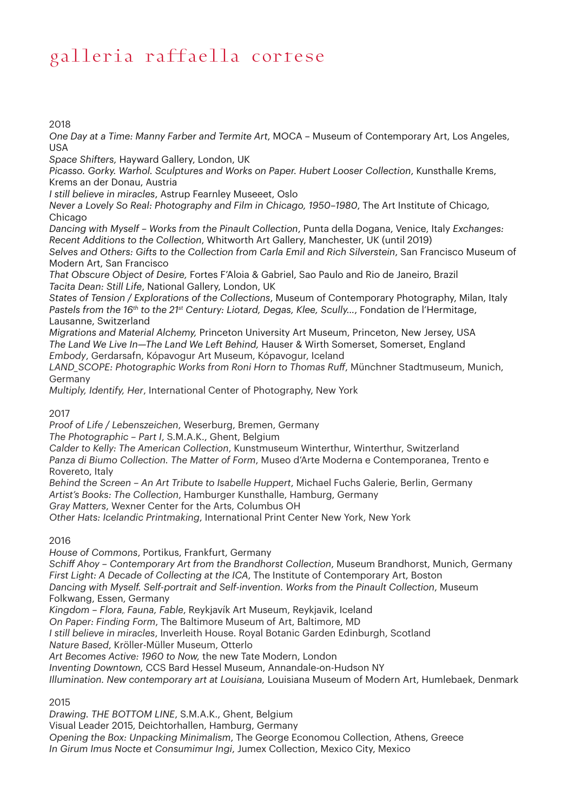2018

*One Day at a Time: Manny Farber and Termite Art*, MOCA – Museum of Contemporary Art, Los Angeles, USA

*Space Shifters,* Hayward Gallery, London, UK

*Picasso. Gorky. Warhol. Sculptures and Works on Paper. Hubert Looser Collection*, Kunsthalle Krems, Krems an der Donau, Austria

*I still believe in miracles*, Astrup Fearnley Museeet, Oslo

*Never a Lovely So Real: Photography and Film in Chicago, 1950–1980*, The Art Institute of Chicago, **Chicago** 

*Dancing with Myself – Works from the Pinault Collection*, Punta della Dogana, Venice, Italy *Exchanges: Recent Additions to the Collection*, Whitworth Art Gallery, Manchester, UK (until 2019)

*Selves and Others: Gifts to the Collection from Carla Emil and Rich Silverstein*, San Francisco Museum of Modern Art, San Francisco

*That Obscure Object of Desire,* Fortes F'Aloia & Gabriel, Sao Paulo and Rio de Janeiro, Brazil *Tacita Dean: Still Life*, National Gallery, London, UK

*States of Tension / Explorations of the Collections*, Museum of Contemporary Photography, Milan, Italy *Pastels from the 16th to the 21st Century: Liotard, Degas, Klee, Scully…*, Fondation de l'Hermitage, Lausanne, Switzerland

*Migrations and Material Alchemy,* Princeton University Art Museum, Princeton, New Jersey, USA *The Land We Live In—The Land We Left Behind,* Hauser & Wirth Somerset, Somerset, England *Embody*, Gerdarsafn, Kópavogur Art Museum, Kópavogur, Iceland

*LAND\_SCOPE: Photographic Works from Roni Horn to Thomas Ruff*, Münchner Stadtmuseum, Munich, Germany

*Multiply, Identify, Her*, International Center of Photography, New York

2017

*Proof of Life / Lebenszeichen*, Weserburg, Bremen, Germany

*The Photographic – Part I*, S.M.A.K., Ghent, Belgium

*Calder to Kelly: The American Collection*, Kunstmuseum Winterthur, Winterthur, Switzerland *Panza di Biumo Collection. The Matter of Form*, Museo d'Arte Moderna e Contemporanea, Trento e Rovereto, Italy

*Behind the Screen – An Art Tribute to Isabelle Huppert*, Michael Fuchs Galerie, Berlin, Germany *Artist's Books: The Collection*, Hamburger Kunsthalle, Hamburg, Germany

*Gray Matters*, Wexner Center for the Arts, Columbus OH

*Other Hats: Icelandic Printmaking*, International Print Center New York, New York

2016

*House of Commons*, Portikus, Frankfurt, Germany

*Schiff Ahoy – Contemporary Art from the Brandhorst Collection*, Museum Brandhorst, Munich, Germany *First Light: A Decade of Collecting at the ICA*, The Institute of Contemporary Art, Boston

*Dancing with Myself. Self-portrait and Self-invention. Works from the Pinault Collection*, Museum Folkwang, Essen, Germany

*Kingdom – Flora, Fauna, Fable*, Reykjavík Art Museum, Reykjavik, Iceland

*On Paper: Finding Form*, The Baltimore Museum of Art, Baltimore, MD

*I still believe in miracles*, Inverleith House. Royal Botanic Garden Edinburgh, Scotland

*Nature Based*, Kröller-Müller Museum, Otterlo

*Art Becomes Active: 1960 to Now,* the new Tate Modern, London

*Inventing Downtown,* CCS Bard Hessel Museum, Annandale-on-Hudson NY

*Illumination. New contemporary art at Louisiana,* Louisiana Museum of Modern Art, Humlebaek, Denmark

2015

*Drawing. THE BOTTOM LINE*, S.M.A.K., Ghent, Belgium Visual Leader 2015, Deichtorhallen, Hamburg, Germany *Opening the Box: Unpacking Minimalism*, The George Economou Collection, Athens, Greece *In Girum Imus Nocte et Consumimur Ingi*, Jumex Collection, Mexico City, Mexico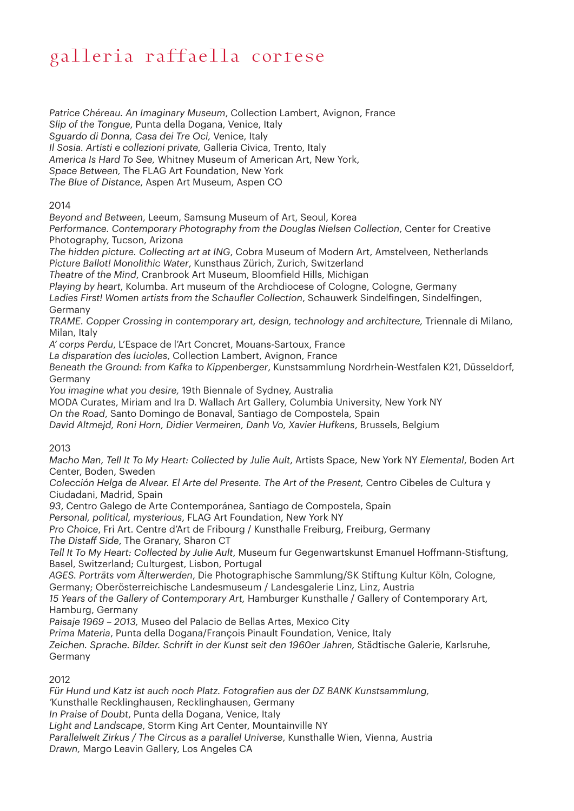*Patrice Chéreau. An Imaginary Museum*, Collection Lambert, Avignon, France *Slip of the Tongue*, Punta della Dogana, Venice, Italy *Sguardo di Donna, Casa dei Tre Oci,* Venice, Italy *Il Sosia. Artisti e collezioni private,* Galleria Civica, Trento, Italy *America Is Hard To See,* Whitney Museum of American Art, New York, *Space Between,* The FLAG Art Foundation, New York *The Blue of Distance*, Aspen Art Museum, Aspen CO

2014

*Beyond and Between*, Leeum, Samsung Museum of Art, Seoul, Korea

*Performance. Contemporary Photography from the Douglas Nielsen Collection*, Center for Creative Photography, Tucson, Arizona

*The hidden picture. Collecting art at ING*, Cobra Museum of Modern Art, Amstelveen, Netherlands *Picture Ballot! Monolithic Water*, Kunsthaus Zürich, Zurich, Switzerland

*Theatre of the Mind*, Cranbrook Art Museum, Bloomfield Hills, Michigan

*Playing by heart*, Kolumba. Art museum of the Archdiocese of Cologne, Cologne, Germany

*Ladies First! Women artists from the Schaufler Collection*, Schauwerk Sindelfingen, Sindelfingen, Germany

*TRAME. Copper Crossing in contemporary art, design, technology and architecture,* Triennale di Milano, Milan, Italy

*A' corps Perdu*, L'Espace de l'Art Concret, Mouans-Sartoux, France

*La disparation des lucioles*, Collection Lambert, Avignon, France

*Beneath the Ground: from Kafka to Kippenberger*, Kunstsammlung Nordrhein-Westfalen K21, Düsseldorf, Germany

*You imagine what you desire,* 19th Biennale of Sydney, Australia

MODA Curates, Miriam and Ira D. Wallach Art Gallery, Columbia University, New York NY

*On the Road*, Santo Domingo de Bonaval, Santiago de Compostela, Spain

*David Altmejd, Roni Horn, Didier Vermeiren, Danh Vo, Xavier Hufkens*, Brussels, Belgium

2013

*Macho Man, Tell It To My Heart: Collected by Julie Ault*, Artists Space, New York NY *Elemental*, Boden Art Center, Boden, Sweden

*Colección Helga de Alvear. El Arte del Presente. The Art of the Present,* Centro Cibeles de Cultura y Ciudadani, Madrid, Spain

*93*, Centro Galego de Arte Contemporánea, Santiago de Compostela, Spain

*Personal, political, mysterious*, FLAG Art Foundation, New York NY

*Pro Choice*, Fri Art. Centre d'Art de Fribourg / Kunsthalle Freiburg, Freiburg, Germany *The Distaff Side*, The Granary, Sharon CT

*Tell It To My Heart: Collected by Julie Ault*, Museum fur Gegenwartskunst Emanuel Hoffmann-Stisftung, Basel, Switzerland; Culturgest, Lisbon, Portugal

*AGES. Porträts vom Älterwerden*, Die Photographische Sammlung/SK Stiftung Kultur Köln, Cologne, Germany; Oberösterreichische Landesmuseum / Landesgalerie Linz, Linz, Austria

*15 Years of the Gallery of Contemporary Art,* Hamburger Kunsthalle / Gallery of Contemporary Art, Hamburg, Germany

*Paisaje 1969 – 2013,* Museo del Palacio de Bellas Artes, Mexico City

*Prima Materia*, Punta della Dogana/François Pinault Foundation, Venice, Italy

*Zeichen. Sprache. Bilder. Schrift in der Kunst seit den 1960er Jahren,* Städtische Galerie, Karlsruhe, Germany

2012

*Für Hund und Katz ist auch noch Platz. Fotografien aus der DZ BANK Kunstsammlung, '*Kunsthalle Recklinghausen, Recklinghausen, Germany *In Praise of Doubt*, Punta della Dogana, Venice, Italy *Light and Landscape*, Storm King Art Center, Mountainville NY *Parallelwelt Zirkus / The Circus as a parallel Universe*, Kunsthalle Wien, Vienna, Austria *Drawn,* Margo Leavin Gallery, Los Angeles CA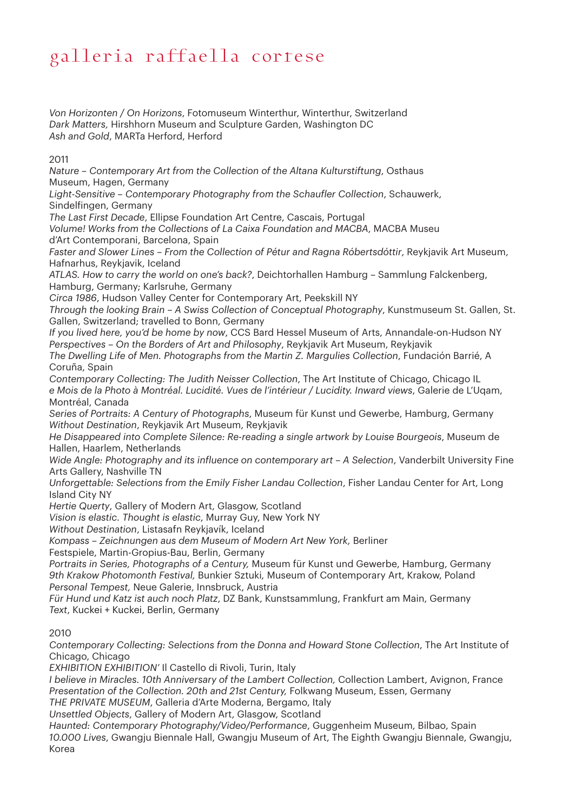*Von Horizonten / On Horizons*, Fotomuseum Winterthur, Winterthur, Switzerland *Dark Matters,* Hirshhorn Museum and Sculpture Garden, Washington DC *Ash and Gold*, MARTa Herford, Herford

2011

*Nature – Contemporary Art from the Collection of the Altana Kulturstiftung*, Osthaus Museum, Hagen, Germany

*Light-Sensitive – Contemporary Photography from the Schaufler Collection*, Schauwerk, Sindelfingen, Germany

*The Last First Decade*, Ellipse Foundation Art Centre, Cascais, Portugal

*Volume! Works from the Collections of La Caixa Foundation and MACBA*, MACBA Museu d'Art Contemporani, Barcelona, Spain

Faster and Slower Lines – From the Collection of Pétur and Ragna Róbertsdóttir, Reykjavik Art Museum, Hafnarhus, Reykjavik, Iceland

*ATLAS. How to carry the world on one's back?*, Deichtorhallen Hamburg – Sammlung Falckenberg, Hamburg, Germany; Karlsruhe, Germany

*Circa 1986*, Hudson Valley Center for Contemporary Art, Peekskill NY

*Through the looking Brain – A Swiss Collection of Conceptual Photography*, Kunstmuseum St. Gallen, St. Gallen, Switzerland; travelled to Bonn, Germany

*If you lived here, you'd be home by now*, CCS Bard Hessel Museum of Arts, Annandale-on-Hudson NY *Perspectives – On the Borders of Art and Philosophy*, Reykjavik Art Museum, Reykjavik

*The Dwelling Life of Men. Photographs from the Martin Z. Margulies Collection*, Fundación Barrié, A Coruña, Spain

*Contemporary Collecting: The Judith Neisser Collection*, The Art Institute of Chicago, Chicago IL *e Mois de la Photo à Montréal. Lucidité. Vues de l'intérieur / Lucidity. Inward views*, Galerie de L'Uqam, Montréal, Canada

*Series of Portraits: A Century of Photographs*, Museum für Kunst und Gewerbe, Hamburg, Germany *Without Destination*, Reykjavik Art Museum, Reykjavik

*He Disappeared into Complete Silence: Re-reading a single artwork by Louise Bourgeois*, Museum de Hallen, Haarlem, Netherlands

Wide Angle: Photography and its influence on contemporary art - A Selection, Vanderbilt University Fine Arts Gallery, Nashville TN

*Unforgettable: Selections from the Emily Fisher Landau Collection*, Fisher Landau Center for Art, Long Island City NY

*Hertie Querty*, Gallery of Modern Art, Glasgow, Scotland

*Vision is elastic. Thought is elastic*, Murray Guy, New York NY

*Without Destination*, Listasafn Reykjavík, Iceland

*Kompass – Zeichnungen aus dem Museum of Modern Art New York,* Berliner

Festspiele, Martin-Gropius-Bau, Berlin, Germany

*Portraits in Series, Photographs of a Century,* Museum für Kunst und Gewerbe, Hamburg, Germany *9th Krakow Photomonth Festival,* Bunkier Sztuki*,* Museum of Contemporary Art, Krakow, Poland *Personal Tempest,* Neue Galerie, Innsbruck, Austria

*Für Hund und Katz ist auch noch Platz*, DZ Bank, Kunstsammlung, Frankfurt am Main, Germany *Text*, Kuckei + Kuckei, Berlin, Germany

2010

*Contemporary Collecting: Selections from the Donna and Howard Stone Collection*, The Art Institute of Chicago, Chicago

*EXHIBITION EXHIBITION'* Il Castello di Rivoli, Turin, Italy

*I believe in Miracles. 10th Anniversary of the Lambert Collection, Collection Lambert, Avignon, France Presentation of the Collection. 20th and 21st Century,* Folkwang Museum, Essen, Germany

*THE PRIVATE MUSEUM*, Galleria d'Arte Moderna, Bergamo, Italy

*Unsettled Objects*, Gallery of Modern Art, Glasgow, Scotland

*Haunted: Contemporary Photography/Video/Performance*, Guggenheim Museum, Bilbao, Spain *10.000 Lives*, Gwangju Biennale Hall, Gwangju Museum of Art, The Eighth Gwangju Biennale, Gwangju, Korea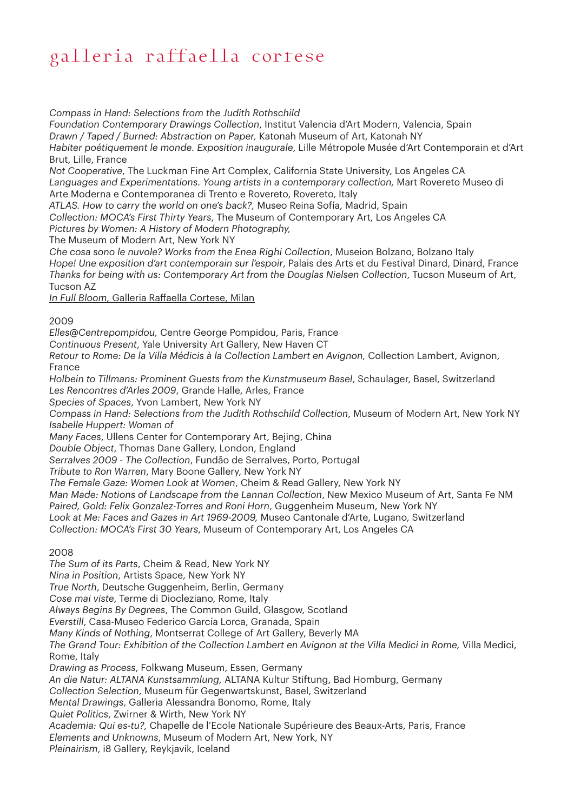*Compass in Hand: Selections from the Judith Rothschild* 

*Foundation Contemporary Drawings Collection*, Institut Valencia d'Art Modern, Valencia, Spain *Drawn / Taped / Burned: Abstraction on Paper,* Katonah Museum of Art, Katonah NY *Habiter poétiquement le monde. Exposition inaugurale*, Lille Métropole Musée d'Art Contemporain et d'Art Brut, Lille, France

*Not Cooperative*, The Luckman Fine Art Complex, California State University, Los Angeles CA *Languages and Experimentations. Young artists in a contemporary collection,* Mart Rovereto Museo di Arte Moderna e Contemporanea di Trento e Rovereto, Rovereto, Italy

*ATLAS. How to carry the world on one's back?,* Museo Reina Sofía, Madrid, Spain

*Collection: MOCA's First Thirty Years*, The Museum of Contemporary Art, Los Angeles CA

*Pictures by Women: A History of Modern Photography,* 

The Museum of Modern Art, New York NY

*Che cosa sono le nuvole? Works from the Enea Righi Collection*, Museion Bolzano, Bolzano Italy *Hope! Une exposition d'art contemporain sur l'espoir*, Palais des Arts et du Festival Dinard, Dinard, France *Thanks for being with us: Contemporary Art from the Douglas Nielsen Collection*, Tucson Museum of Art, Tucson AZ

*In Full Bloom,* Galleria Raffaella Cortese, Milan

2009

*Elles@Centrepompidou,* Centre George Pompidou, Paris, France

*Continuous Present*, Yale University Art Gallery, New Haven CT

*Retour to Rome: De la Villa Médicis à la Collection Lambert en Avignon,* Collection Lambert, Avignon, France

*Holbein to Tillmans: Prominent Guests from the Kunstmuseum Basel*, Schaulager, Basel, Switzerland *Les Rencontres d'Arles 2009*, Grande Halle, Arles, France

*Species of Spaces*, Yvon Lambert, New York NY

*Compass in Hand: Selections from the Judith Rothschild Collection*, Museum of Modern Art, New York NY *Isabelle Huppert: Woman of* 

*Many Faces*, Ullens Center for Contemporary Art, Bejing, China

*Double Object*, Thomas Dane Gallery, London, England

*Serralves 2009 - The Collection*, Fundão de Serralves, Porto, Portugal

*Tribute to Ron Warren*, Mary Boone Gallery, New York NY

*The Female Gaze: Women Look at Women*, Cheim & Read Gallery, New York NY

*Man Made: Notions of Landscape from the Lannan Collection*, New Mexico Museum of Art, Santa Fe NM *Paired, Gold: Felix Gonzalez-Torres and Roni Horn*, Guggenheim Museum, New York NY

*Look at Me: Faces and Gazes in Art 1969-2009,* Museo Cantonale d'Arte, Lugano, Switzerland

*Collection: MOCA's First 30 Years*, Museum of Contemporary Art, Los Angeles CA

2008

*The Sum of its Parts*, Cheim & Read, New York NY *Nina in Position*, Artists Space, New York NY *True North*, Deutsche Guggenheim, Berlin, Germany *Cose mai viste*, Terme di Diocleziano, Rome, Italy *Always Begins By Degrees*, The Common Guild, Glasgow, Scotland *Everstill*, Casa-Museo Federico García Lorca, Granada, Spain *Many Kinds of Nothing*, Montserrat College of Art Gallery, Beverly MA *The Grand Tour: Exhibition of the Collection Lambert en Avignon at the Villa Medici in Rome,* Villa Medici, Rome, Italy *Drawing as Process*, Folkwang Museum, Essen, Germany *An die Natur: ALTANA Kunstsammlung,* ALTANA Kultur Stiftung, Bad Homburg, Germany *Collection Selection*, Museum für Gegenwartskunst, Basel, Switzerland *Mental Drawings*, Galleria Alessandra Bonomo, Rome, Italy *Quiet Politics*, Zwirner & Wirth, New York NY *Academia: Qui es-tu?,* Chapelle de l'Ecole Nationale Supérieure des Beaux-Arts, Paris, France *Elements and Unknowns*, Museum of Modern Art, New York, NY *Pleinairism*, i8 Gallery, Reykjavik, Iceland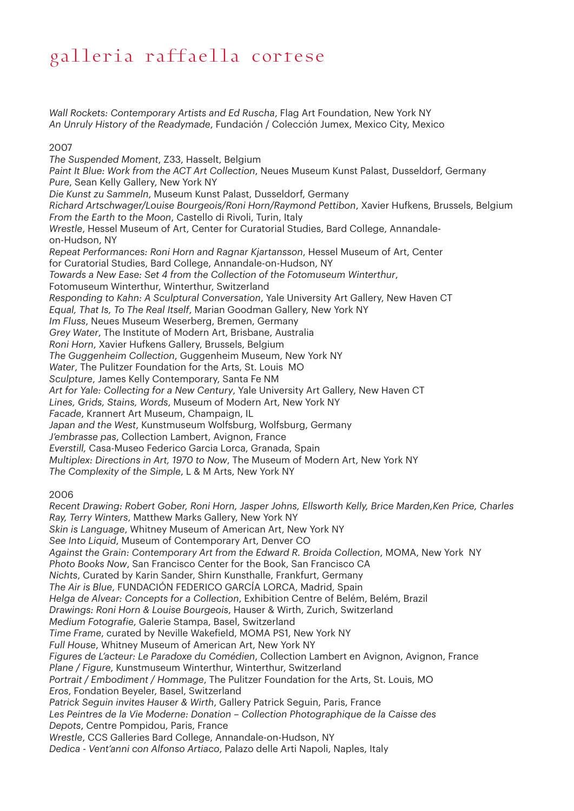*Wall Rockets: Contemporary Artists and Ed Ruscha*, Flag Art Foundation, New York NY *An Unruly History of the Readymade*, Fundación / Colección Jumex, Mexico City, Mexico

#### 2007

*The Suspended Moment*, Z33, Hasselt, Belgium *Paint It Blue: Work from the ACT Art Collection*, Neues Museum Kunst Palast, Dusseldorf, Germany *Pure*, Sean Kelly Gallery, New York NY *Die Kunst zu Sammeln*, Museum Kunst Palast, Dusseldorf, Germany *Richard Artschwager/Louise Bourgeois/Roni Horn/Raymond Pettibon*, Xavier Hufkens, Brussels, Belgium *From the Earth to the Moon*, Castello di Rivoli, Turin, Italy *Wrestle*, Hessel Museum of Art, Center for Curatorial Studies, Bard College, Annandaleon-Hudson, NY *Repeat Performances: Roni Horn and Ragnar Kjartansson*, Hessel Museum of Art, Center for Curatorial Studies, Bard College, Annandale-on-Hudson, NY *Towards a New Ease: Set 4 from the Collection of the Fotomuseum Winterthur*, Fotomuseum Winterthur, Winterthur, Switzerland *Responding to Kahn: A Sculptural Conversation*, Yale University Art Gallery, New Haven CT *Equal, That Is, To The Real Itself*, Marian Goodman Gallery, New York NY *Im Fluss*, Neues Museum Weserberg, Bremen, Germany *Grey Water*, The Institute of Modern Art, Brisbane, Australia *Roni Horn*, Xavier Hufkens Gallery, Brussels, Belgium *The Guggenheim Collection*, Guggenheim Museum, New York NY *Water*, The Pulitzer Foundation for the Arts, St. Louis MO *Sculpture*, James Kelly Contemporary, Santa Fe NM *Art for Yale: Collecting for a New Century*, Yale University Art Gallery, New Haven CT *Lines, Grids, Stains, Words*, Museum of Modern Art, New York NY *Facade*, Krannert Art Museum, Champaign, IL *Japan and the West*, Kunstmuseum Wolfsburg, Wolfsburg, Germany *J'embrasse pas*, Collection Lambert, Avignon, France *Everstill,* Casa-Museo Federico Garcia Lorca, Granada, Spain *Multiplex: Directions in Art, 1970 to Now*, The Museum of Modern Art, New York NY *The Complexity of the Simple*, L & M Arts, New York NY

### 2006

*Recent Drawing: Robert Gober, Roni Horn, Jasper Johns, Ellsworth Kelly, Brice Marden,Ken Price, Charles Ray, Terry Winters*, Matthew Marks Gallery, New York NY *Skin is Language*, Whitney Museum of American Art, New York NY *See Into Liquid*, Museum of Contemporary Art, Denver CO *Against the Grain: Contemporary Art from the Edward R. Broida Collection*, MOMA, New York NY *Photo Books Now*, San Francisco Center for the Book, San Francisco CA *Nichts*, Curated by Karin Sander, Shirn Kunsthalle, Frankfurt, Germany *The Air is Blue*, FUNDACIÓN FEDERICO GARCÍA LORCA, Madrid, Spain *Helga de Alvear: Concepts for a Collection*, Exhibition Centre of Belém, Belém, Brazil *Drawings: Roni Horn & Louise Bourgeois*, Hauser & Wirth, Zurich, Switzerland *Medium Fotografie*, Galerie Stampa, Basel, Switzerland *Time Frame*, curated by Neville Wakefield, MOMA PS1, New York NY *Full House*, Whitney Museum of American Art, New York NY *Figures de L'acteur: Le Paradoxe du Comédien*, Collection Lambert en Avignon, Avignon, France *Plane / Figure*, Kunstmuseum Winterthur, Winterthur, Switzerland *Portrait / Embodiment / Hommage*, The Pulitzer Foundation for the Arts, St. Louis, MO *Eros*, Fondation Beyeler, Basel, Switzerland *Patrick Seguin invites Hauser & Wirth*, Gallery Patrick Seguin, Paris, France *Les Peintres de la Vie Moderne: Donation – Collection Photographique de la Caisse des Depots*, Centre Pompidou, Paris, France *Wrestle*, CCS Galleries Bard College, Annandale-on-Hudson, NY *Dedica - Vent'anni con Alfonso Artiaco*, Palazo delle Arti Napoli, Naples, Italy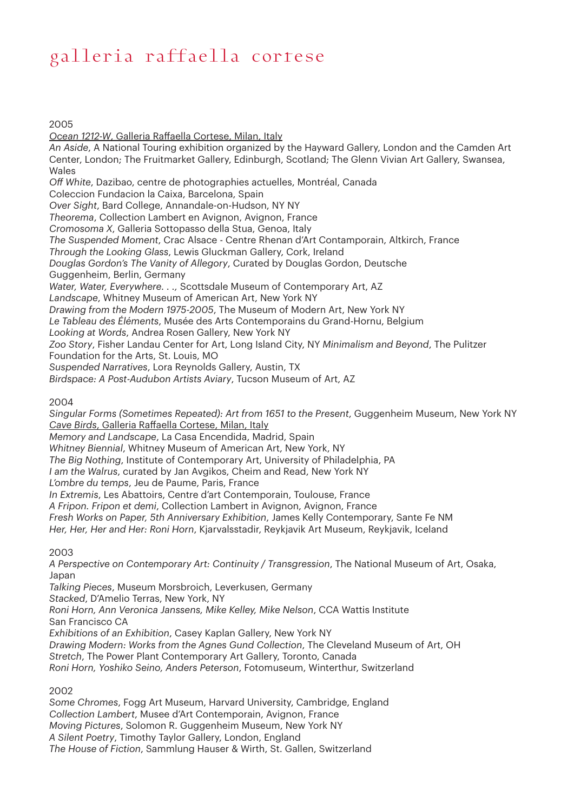#### 2005

*Ocean 1212-W*, Galleria Raffaella Cortese, Milan, Italy *An Aside*, A National Touring exhibition organized by the Hayward Gallery, London and the Camden Art Center, London; The Fruitmarket Gallery, Edinburgh, Scotland; The Glenn Vivian Art Gallery, Swansea, Wales *Off White*, Dazibao, centre de photographies actuelles, Montréal, Canada Coleccion Fundacion la Caixa, Barcelona, Spain *Over Sight*, Bard College, Annandale-on-Hudson, NY NY *Theorema*, Collection Lambert en Avignon, Avignon, France *Cromosoma X*, Galleria Sottopasso della Stua, Genoa, Italy *The Suspended Moment*, Crac Alsace - Centre Rhenan d'Art Contamporain, Altkirch, France *Through the Looking Glass*, Lewis Gluckman Gallery, Cork, Ireland *Douglas Gordon's The Vanity of Allegory*, Curated by Douglas Gordon, Deutsche Guggenheim, Berlin, Germany *Water, Water, Everywhere. . .,* Scottsdale Museum of Contemporary Art, AZ *Landscape*, Whitney Museum of American Art, New York NY *Drawing from the Modern 1975-2005*, The Museum of Modern Art, New York NY *Le Tableau des Éléments*, Musée des Arts Contemporains du Grand-Hornu, Belgium *Looking at Words*, Andrea Rosen Gallery, New York NY *Zoo Story*, Fisher Landau Center for Art, Long Island City, NY *Minimalism and Beyond*, The Pulitzer Foundation for the Arts, St. Louis, MO *Suspended Narratives*, Lora Reynolds Gallery, Austin, TX *Birdspace: A Post-Audubon Artists Aviary*, Tucson Museum of Art, AZ

### 2004

*Singular Forms (Sometimes Repeated): Art from 1651 to the Present*, Guggenheim Museum, New York NY *Cave Birds*, Galleria Raffaella Cortese, Milan, Italy *Memory and Landscape*, La Casa Encendida, Madrid, Spain *Whitney Biennial*, Whitney Museum of American Art, New York, NY *The Big Nothing*, Institute of Contemporary Art, University of Philadelphia, PA *I am the Walrus*, curated by Jan Avgikos, Cheim and Read, New York NY *L'ombre du temps*, Jeu de Paume, Paris, France *In Extremis*, Les Abattoirs, Centre d'art Contemporain, Toulouse, France *A Fripon. Fripon et demi*, Collection Lambert in Avignon, Avignon, France

*Fresh Works on Paper, 5th Anniversary Exhibition*, James Kelly Contemporary, Sante Fe NM *Her, Her, Her and Her: Roni Horn*, Kjarvalsstadir, Reykjavik Art Museum, Reykjavik, Iceland

#### 2003

*A Perspective on Contemporary Art: Continuity / Transgression*, The National Museum of Art, Osaka, Japan

*Talking Pieces*, Museum Morsbroich, Leverkusen, Germany

*Stacked*, D'Amelio Terras, New York, NY

*Roni Horn, Ann Veronica Janssens, Mike Kelley, Mike Nelson*, CCA Wattis Institute San Francisco CA

*Exhibitions of an Exhibition*, Casey Kaplan Gallery, New York NY

*Drawing Modern: Works from the Agnes Gund Collection*, The Cleveland Museum of Art, OH

*Stretch*, The Power Plant Contemporary Art Gallery, Toronto, Canada

*Roni Horn, Yoshiko Seino, Anders Peterson*, Fotomuseum, Winterthur, Switzerland

#### 2002

*Some Chromes*, Fogg Art Museum, Harvard University, Cambridge, England *Collection Lambert*, Musee d'Art Contemporain, Avignon, France *Moving Pictures*, Solomon R. Guggenheim Museum, New York NY *A Silent Poetry*, Timothy Taylor Gallery, London, England *The House of Fiction*, Sammlung Hauser & Wirth, St. Gallen, Switzerland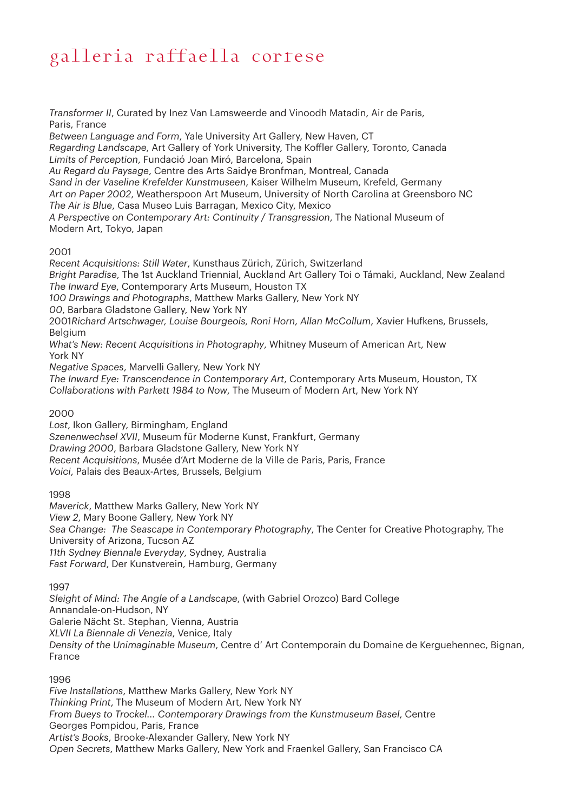*Transformer II*, Curated by Inez Van Lamsweerde and Vinoodh Matadin, Air de Paris, Paris, France

*Between Language and Form*, Yale University Art Gallery, New Haven, CT *Regarding Landscape*, Art Gallery of York University, The Koffler Gallery, Toronto, Canada *Limits of Perception*, Fundació Joan Miró, Barcelona, Spain *Au Regard du Paysage*, Centre des Arts Saidye Bronfman, Montreal, Canada *Sand in der Vaseline Krefelder Kunstmuseen*, Kaiser Wilhelm Museum, Krefeld, Germany *Art on Paper 2002*, Weatherspoon Art Museum, University of North Carolina at Greensboro NC *The Air is Blue*, Casa Museo Luis Barragan, Mexico City, Mexico *A Perspective on Contemporary Art: Continuity / Transgression*, The National Museum of Modern Art, Tokyo, Japan

### 2001

*Recent Acquisitions: Still Water*, Kunsthaus Zürich, Zürich, Switzerland *Bright Paradise*, The 1st Auckland Triennial, Auckland Art Gallery Toi o Támaki, Auckland, New Zealand *The Inward Eye*, Contemporary Arts Museum, Houston TX *100 Drawings and Photographs*, Matthew Marks Gallery, New York NY *00*, Barbara Gladstone Gallery, New York NY 2001*Richard Artschwager, Louise Bourgeois, Roni Horn, Allan McCollum*, Xavier Hufkens, Brussels, Belgium *What's New: Recent Acquisitions in Photography*, Whitney Museum of American Art, New York NY *Negative Spaces*, Marvelli Gallery, New York NY *The Inward Eye: Transcendence in Contemporary Art*, Contemporary Arts Museum, Houston, TX *Collaborations with Parkett 1984 to Now*, The Museum of Modern Art, New York NY

2000

*Lost*, Ikon Gallery, Birmingham, England *Szenenwechsel XVII*, Museum für Moderne Kunst, Frankfurt, Germany *Drawing 2000*, Barbara Gladstone Gallery, New York NY *Recent Acquisitions*, Musée d'Art Moderne de la Ville de Paris, Paris, France *Voici*, Palais des Beaux-Artes, Brussels, Belgium

1998

*Maverick*, Matthew Marks Gallery, New York NY *View 2*, Mary Boone Gallery, New York NY *Sea Change: The Seascape in Contemporary Photography*, The Center for Creative Photography, The University of Arizona, Tucson AZ *11th Sydney Biennale Everyday*, Sydney, Australia *Fast Forward*, Der Kunstverein, Hamburg, Germany

1997

*Sleight of Mind: The Angle of a Landscape*, (with Gabriel Orozco) Bard College Annandale-on-Hudson, NY Galerie Nächt St. Stephan, Vienna, Austria *XLVII La Biennale di Venezia*, Venice, Italy *Density of the Unimaginable Museum*, Centre d' Art Contemporain du Domaine de Kerguehennec, Bignan, France

1996

*Five Installations*, Matthew Marks Gallery, New York NY *Thinking Print*, The Museum of Modern Art, New York NY *From Bueys to Trockel... Contemporary Drawings from the Kunstmuseum Basel*, Centre Georges Pompidou, Paris, France *Artist's Books*, Brooke-Alexander Gallery, New York NY *Open Secrets*, Matthew Marks Gallery, New York and Fraenkel Gallery, San Francisco CA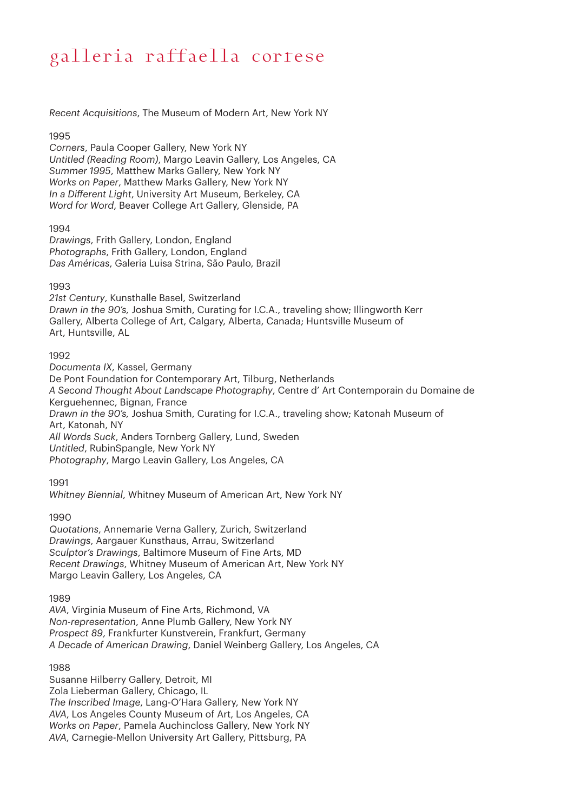*Recent Acquisitions*, The Museum of Modern Art, New York NY

### 1995

*Corners*, Paula Cooper Gallery, New York NY *Untitled (Reading Room)*, Margo Leavin Gallery, Los Angeles, CA *Summer 1995*, Matthew Marks Gallery, New York NY *Works on Paper*, Matthew Marks Gallery, New York NY *In a Different Light*, University Art Museum, Berkeley, CA *Word for Word*, Beaver College Art Gallery, Glenside, PA

### 1994

*Drawings*, Frith Gallery, London, England *Photographs*, Frith Gallery, London, England *Das Américas*, Galeria Luisa Strina, São Paulo, Brazil

### 1993

*21st Century*, Kunsthalle Basel, Switzerland *Drawn in the 90's,* Joshua Smith, Curating for I.C.A., traveling show; Illingworth Kerr Gallery, Alberta College of Art, Calgary, Alberta, Canada; Huntsville Museum of Art, Huntsville, AL

### 1992

*Documenta IX*, Kassel, Germany De Pont Foundation for Contemporary Art, Tilburg, Netherlands *A Second Thought About Landscape Photography*, Centre d' Art Contemporain du Domaine de Kerguehennec, Bignan, France *Drawn in the 90's,* Joshua Smith, Curating for I.C.A., traveling show; Katonah Museum of Art, Katonah, NY *All Words Suck*, Anders Tornberg Gallery, Lund, Sweden *Untitled*, RubinSpangle, New York NY *Photography*, Margo Leavin Gallery, Los Angeles, CA

1991

*Whitney Biennial*, Whitney Museum of American Art, New York NY

#### 1990

*Quotations*, Annemarie Verna Gallery, Zurich, Switzerland *Drawings*, Aargauer Kunsthaus, Arrau, Switzerland *Sculptor's Drawings*, Baltimore Museum of Fine Arts, MD *Recent Drawings*, Whitney Museum of American Art, New York NY Margo Leavin Gallery, Los Angeles, CA

1989

*AVA*, Virginia Museum of Fine Arts, Richmond, VA *Non-representation*, Anne Plumb Gallery, New York NY *Prospect 89*, Frankfurter Kunstverein, Frankfurt, Germany *A Decade of American Drawing*, Daniel Weinberg Gallery, Los Angeles, CA

#### 1988

Susanne Hilberry Gallery, Detroit, MI Zola Lieberman Gallery, Chicago, IL *The Inscribed Image*, Lang-O'Hara Gallery, New York NY *AVA*, Los Angeles County Museum of Art, Los Angeles, CA *Works on Paper*, Pamela Auchincloss Gallery, New York NY *AVA*, Carnegie-Mellon University Art Gallery, Pittsburg, PA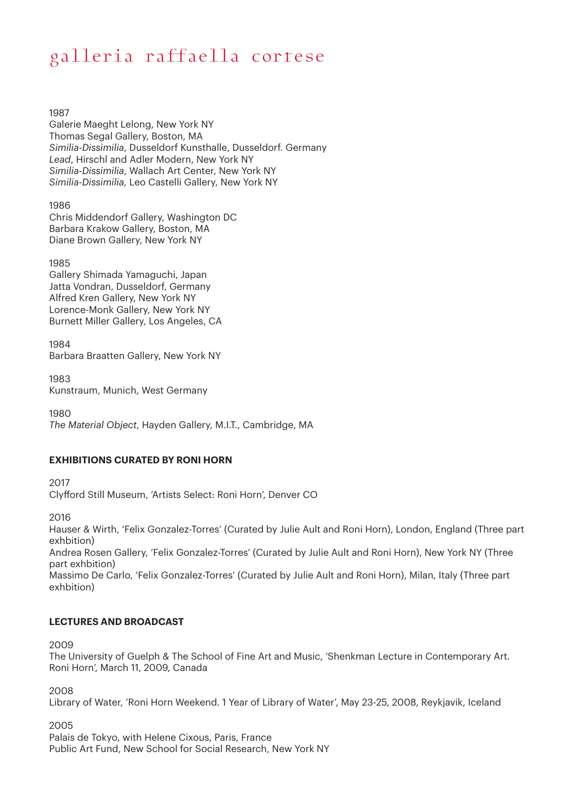1987

Galerie Maeght Lelong, New York NY Thomas Segal Gallery, Boston, MA *Similia-Dissimilia*, Dusseldorf Kunsthalle, Dusseldorf. Germany *Lead*, Hirschl and Adler Modern, New York NY *Similia-Dissimilia*, Wallach Art Center, New York NY *Similia-Dissimilia,* Leo Castelli Gallery, New York NY

1986

Chris Middendorf Gallery, Washington DC Barbara Krakow Gallery, Boston, MA Diane Brown Gallery, New York NY

1985

Gallery Shimada Yamaguchi, Japan Jatta Vondran, Dusseldorf, Germany Alfred Kren Gallery, New York NY Lorence-Monk Gallery, New York NY Burnett Miller Gallery, Los Angeles, CA

1984 Barbara Braatten Gallery, New York NY

1983 Kunstraum, Munich, West Germany

1980 *The Material Object*, Hayden Gallery, M.I.T., Cambridge, MA

### **EXHIBITIONS CURATED BY RONI HORN**

2017

Clyfford Still Museum, 'Artists Select: Roni Horn', Denver CO

2016

Hauser & Wirth, 'Felix Gonzalez-Torres' (Curated by Julie Ault and Roni Horn), London, England (Three part exhbition)

Andrea Rosen Gallery, 'Felix Gonzalez-Torres' (Curated by Julie Ault and Roni Horn), New York NY (Three part exhbition)

Massimo De Carlo, 'Felix Gonzalez-Torres' (Curated by Julie Ault and Roni Horn), Milan, Italy (Three part exhbition)

### **LECTURES AND BROADCAST**

2009

The University of Guelph & The School of Fine Art and Music, 'Shenkman Lecture in Contemporary Art. Roni Horn', March 11, 2009, Canada

2008

Library of Water, 'Roni Horn Weekend. 1 Year of Library of Water', May 23-25, 2008, Reykjavik, Iceland

2005

Palais de Tokyo, with Helene Cixous, Paris, France Public Art Fund, New School for Social Research, New York NY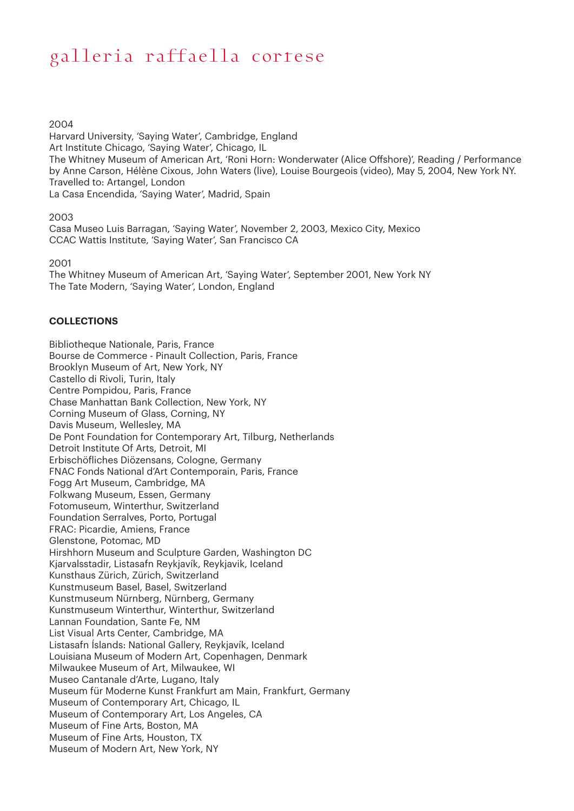#### 2004

Harvard University, 'Saying Water', Cambridge, England Art Institute Chicago, 'Saying Water', Chicago, IL The Whitney Museum of American Art, 'Roni Horn: Wonderwater (Alice Offshore)', Reading / Performance by Anne Carson, Hélène Cixous, John Waters (live), Louise Bourgeois (video), May 5, 2004, New York NY. Travelled to: Artangel, London La Casa Encendida, 'Saying Water', Madrid, Spain

#### 2003

Casa Museo Luis Barragan, 'Saying Water', November 2, 2003, Mexico City, Mexico CCAC Wattis Institute, 'Saying Water', San Francisco CA

#### 2001

The Whitney Museum of American Art, 'Saying Water', September 2001, New York NY The Tate Modern, 'Saying Water', London, England

#### **COLLECTIONS**

Bibliotheque Nationale, Paris, France Bourse de Commerce - Pinault Collection, Paris, France Brooklyn Museum of Art, New York, NY Castello di Rivoli, Turin, Italy Centre Pompidou, Paris, France Chase Manhattan Bank Collection, New York, NY Corning Museum of Glass, Corning, NY Davis Museum, Wellesley, MA De Pont Foundation for Contemporary Art, Tilburg, Netherlands Detroit Institute Of Arts, Detroit, MI Erbischöfliches Diözensans, Cologne, Germany FNAC Fonds National d'Art Contemporain, Paris, France Fogg Art Museum, Cambridge, MA Folkwang Museum, Essen, Germany Fotomuseum, Winterthur, Switzerland Foundation Serralves, Porto, Portugal FRAC: Picardie, Amiens, France Glenstone, Potomac, MD Hirshhorn Museum and Sculpture Garden, Washington DC Kjarvalsstadir, Listasafn Reykjavík, Reykjavik, Iceland Kunsthaus Zürich, Zürich, Switzerland Kunstmuseum Basel, Basel, Switzerland Kunstmuseum Nürnberg, Nürnberg, Germany Kunstmuseum Winterthur, Winterthur, Switzerland Lannan Foundation, Sante Fe, NM List Visual Arts Center, Cambridge, MA Listasafn Íslands: National Gallery, Reykjavík, Iceland Louisiana Museum of Modern Art, Copenhagen, Denmark Milwaukee Museum of Art, Milwaukee, WI Museo Cantanale d'Arte, Lugano, Italy Museum für Moderne Kunst Frankfurt am Main, Frankfurt, Germany Museum of Contemporary Art, Chicago, IL Museum of Contemporary Art, Los Angeles, CA Museum of Fine Arts, Boston, MA Museum of Fine Arts, Houston, TX Museum of Modern Art, New York, NY